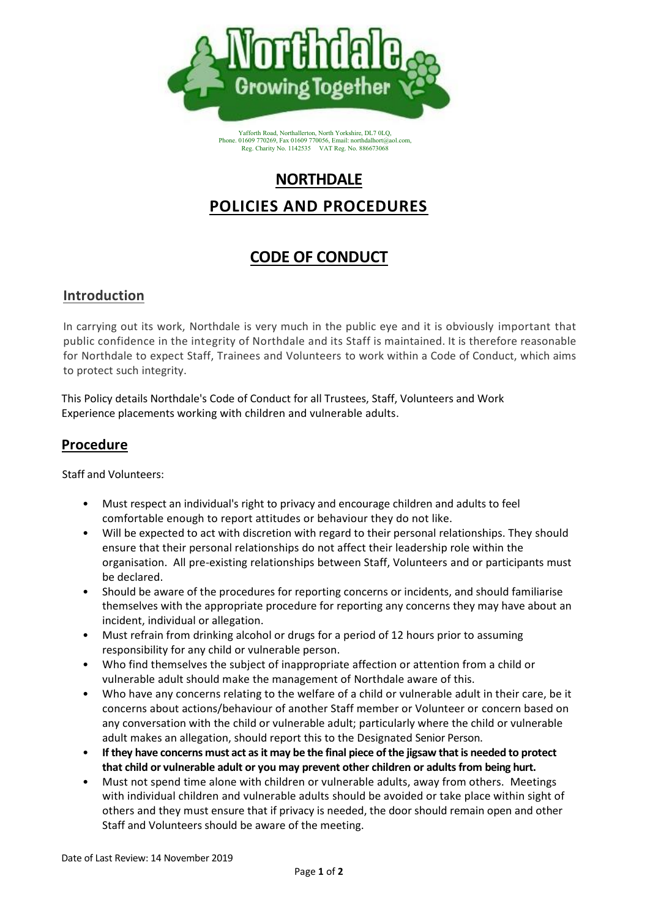

Phone. 01609 770269, Fax 01609 770056, Email: northdalhort@aol.com, Reg. Charity No. 1142535 VAT Reg. No. 886673068

# **NORTHDALE**

# **POLICIES AND PROCEDURES**

# **CODE OF CONDUCT**

### **Introduction**

In carrying out its work, Northdale is very much in the public eye and it is obviously important that public confidence in the integrity of Northdale and its Staff is maintained. It is therefore reasonable for Northdale to expect Staff, Trainees and Volunteers to work within a Code of Conduct, which aims to protect such integrity.

This Policy details Northdale's Code of Conduct for all Trustees, Staff, Volunteers and Work Experience placements working with children and vulnerable adults.

#### **Procedure**

Staff and Volunteers:

- Must respect an individual's right to privacy and encourage children and adults to feel comfortable enough to report attitudes or behaviour they do not like.
- Will be expected to act with discretion with regard to their personal relationships. They should ensure that their personal relationships do not affect their leadership role within the organisation. All pre-existing relationships between Staff, Volunteers and or participants must be declared.
- Should be aware of the procedures for reporting concerns or incidents, and should familiarise themselves with the appropriate procedure for reporting any concerns they may have about an incident, individual or allegation.
- Must refrain from drinking alcohol or drugs for a period of 12 hours prior to assuming responsibility for any child or vulnerable person.
- Who find themselves the subject of inappropriate affection or attention from a child or vulnerable adult should make the management of Northdale aware of this.
- Who have any concerns relating to the welfare of a child or vulnerable adult in their care, be it concerns about actions/behaviour of another Staff member or Volunteer or concern based on any conversation with the child or vulnerable adult; particularly where the child or vulnerable adult makes an allegation, should report this to the Designated Senior Person.
- **If they have concerns must act as it may be the final piece of the jigsaw that is needed to protect that child or vulnerable adult or you may prevent other children or adults from being hurt.**
- Must not spend time alone with children or vulnerable adults, away from others. Meetings with individual children and vulnerable adults should be avoided or take place within sight of others and they must ensure that if privacy is needed, the door should remain open and other Staff and Volunteers should be aware of the meeting.